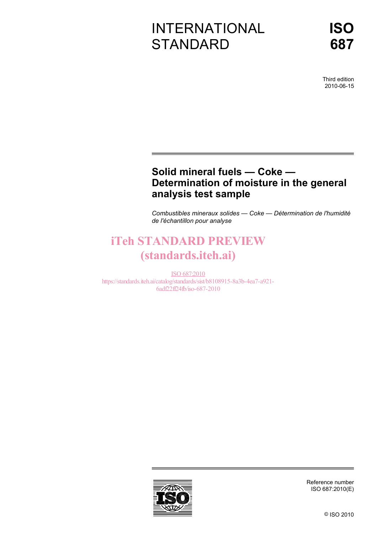# INTERNATIONAL **STANDARD**

Third edition 2010-06-15

### **Solid mineral fuels — Coke — Determination of moisture in the general analysis test sample**

*Combustibles mineraux solides — Coke — Détermination de l'humidité de l'échantillon pour analyse* 

## iTeh STANDARD PREVIEW (standards.iteh.ai)

ISO 687:2010 https://standards.iteh.ai/catalog/standards/sist/b8108915-8a3b-4ea7-a921- 6adf22ff24fb/iso-687-2010



Reference number ISO 687:2010(E)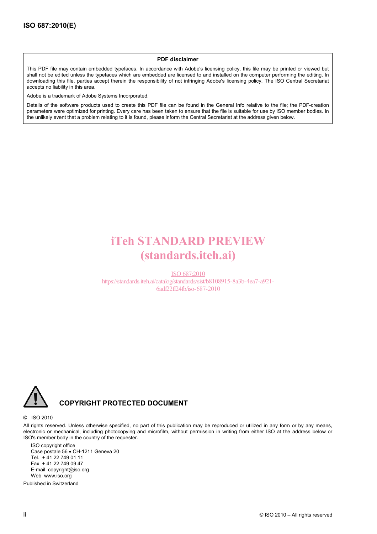#### **PDF disclaimer**

This PDF file may contain embedded typefaces. In accordance with Adobe's licensing policy, this file may be printed or viewed but shall not be edited unless the typefaces which are embedded are licensed to and installed on the computer performing the editing. In downloading this file, parties accept therein the responsibility of not infringing Adobe's licensing policy. The ISO Central Secretariat accepts no liability in this area.

Adobe is a trademark of Adobe Systems Incorporated.

Details of the software products used to create this PDF file can be found in the General Info relative to the file; the PDF-creation parameters were optimized for printing. Every care has been taken to ensure that the file is suitable for use by ISO member bodies. In the unlikely event that a problem relating to it is found, please inform the Central Secretariat at the address given below.

## iTeh STANDARD PREVIEW (standards.iteh.ai)

ISO 687:2010 https://standards.iteh.ai/catalog/standards/sist/b8108915-8a3b-4ea7-a921- 6adf22ff24fb/iso-687-2010



#### **COPYRIGHT PROTECTED DOCUMENT**

#### © ISO 2010

All rights reserved. Unless otherwise specified, no part of this publication may be reproduced or utilized in any form or by any means, electronic or mechanical, including photocopying and microfilm, without permission in writing from either ISO at the address below or ISO's member body in the country of the requester.

ISO copyright office Case postale 56 • CH-1211 Geneva 20 Tel. + 41 22 749 01 11 Fax + 41 22 749 09 47 E-mail copyright@iso.org Web www.iso.org

Published in Switzerland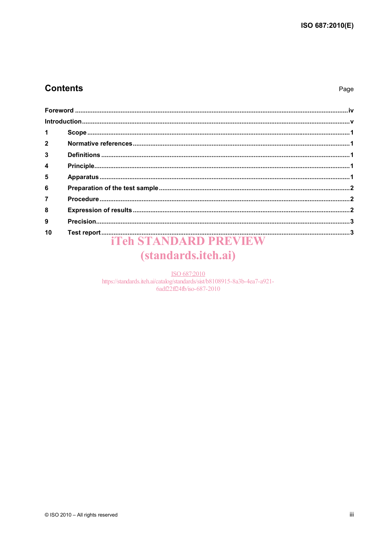### **Contents**

Page

| 1                       |  |
|-------------------------|--|
| $\mathbf{2}$            |  |
| 3                       |  |
| $\overline{\mathbf{A}}$ |  |
| 5                       |  |
| 6                       |  |
| $\overline{7}$          |  |
| 8                       |  |
| 9                       |  |
| 10                      |  |

# (standards.iteh.ai)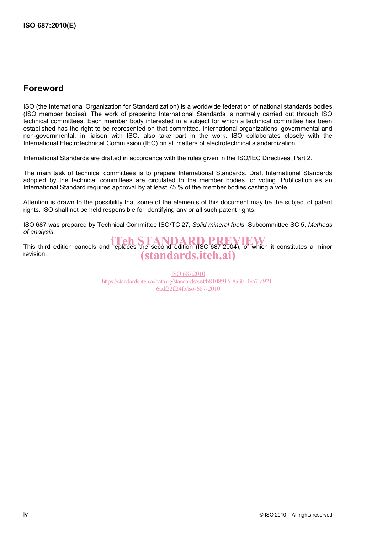### **Foreword**

ISO (the International Organization for Standardization) is a worldwide federation of national standards bodies (ISO member bodies). The work of preparing International Standards is normally carried out through ISO technical committees. Each member body interested in a subject for which a technical committee has been established has the right to be represented on that committee. International organizations, governmental and non-governmental, in liaison with ISO, also take part in the work. ISO collaborates closely with the International Electrotechnical Commission (IEC) on all matters of electrotechnical standardization.

International Standards are drafted in accordance with the rules given in the ISO/IEC Directives, Part 2.

The main task of technical committees is to prepare International Standards. Draft International Standards adopted by the technical committees are circulated to the member bodies for voting. Publication as an International Standard requires approval by at least 75 % of the member bodies casting a vote.

Attention is drawn to the possibility that some of the elements of this document may be the subject of patent rights. ISO shall not be held responsible for identifying any or all such patent rights.

ISO 687 was prepared by Technical Committee ISO/TC 27, *Solid mineral fuels*, Subcommittee SC 5, *Methods of analysis*.

This third edition cancels and replaces the second edition (ISO 687:2004), of which it constitutes a minor revision. (standards.iteh.ai)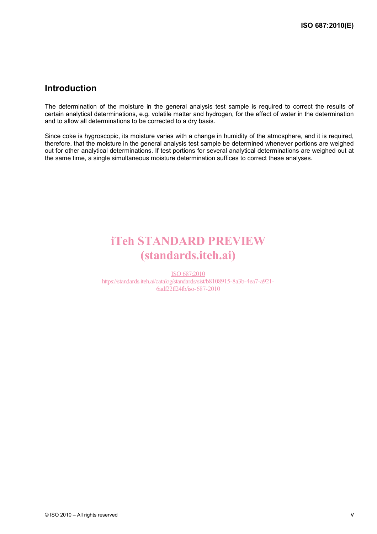### **Introduction**

The determination of the moisture in the general analysis test sample is required to correct the results of certain analytical determinations, e.g. volatile matter and hydrogen, for the effect of water in the determination and to allow all determinations to be corrected to a dry basis.

Since coke is hygroscopic, its moisture varies with a change in humidity of the atmosphere, and it is required, therefore, that the moisture in the general analysis test sample be determined whenever portions are weighed out for other analytical determinations. If test portions for several analytical determinations are weighed out at the same time, a single simultaneous moisture determination suffices to correct these analyses.

## iTeh STANDARD PREVIEW (standards.iteh.ai)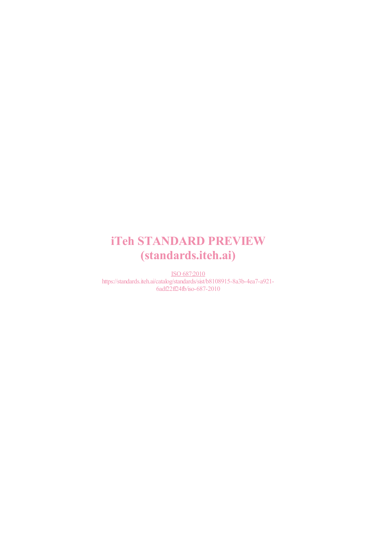## iTeh STANDARD PREVIEW (standards.iteh.ai)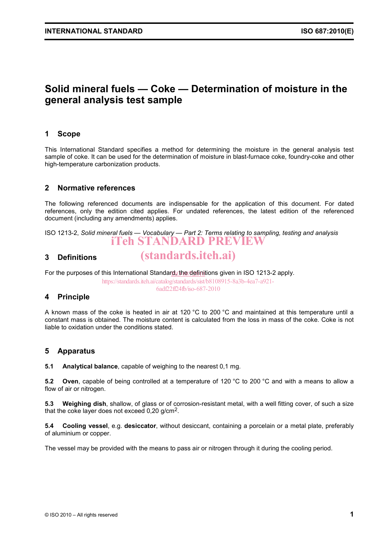### **Solid mineral fuels — Coke — Determination of moisture in the general analysis test sample**

#### **1 Scope**

This International Standard specifies a method for determining the moisture in the general analysis test sample of coke. It can be used for the determination of moisture in blast-furnace coke, foundry-coke and other high-temperature carbonization products.

#### **2 Normative references**

The following referenced documents are indispensable for the application of this document. For dated references, only the edition cited applies. For undated references, the latest edition of the referenced document (including any amendments) applies.

ISO 1213-2, *Solid mineral fuels — Vocabulary — Part 2: Terms relating to sampling, testing and analysis* iTeh STANDARD PREVIEW

#### **3 Definitions**

For the purposes of this International Standard, the definitions given in ISO 1213-2 apply.

https://standards.iteh.ai/catalog/standards/sist/b8108915-8a3b-4ea7-a921- 6adf22ff24fb/iso-687-2010

(standards.iteh.ai)

#### **4 Principle**

A known mass of the coke is heated in air at 120 °C to 200 °C and maintained at this temperature until a constant mass is obtained. The moisture content is calculated from the loss in mass of the coke. Coke is not liable to oxidation under the conditions stated.

#### **5 Apparatus**

**5.1 Analytical balance**, capable of weighing to the nearest 0,1 mg.

**5.2 Oven**, capable of being controlled at a temperature of 120 °C to 200 °C and with a means to allow a flow of air or nitrogen.

**5.3 Weighing dish**, shallow, of glass or of corrosion-resistant metal, with a well fitting cover, of such a size that the coke layer does not exceed 0,20 g/cm2.

**5.4 Cooling vessel**, e.g. **desiccator**, without desiccant, containing a porcelain or a metal plate, preferably of aluminium or copper.

The vessel may be provided with the means to pass air or nitrogen through it during the cooling period.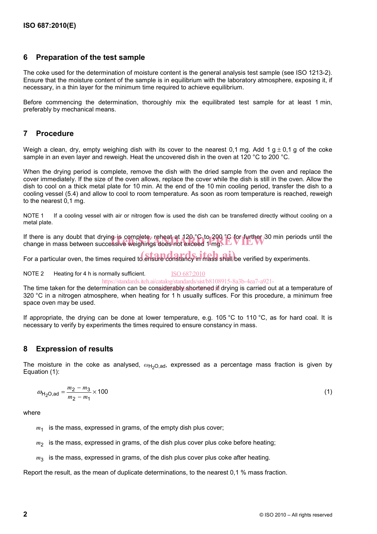#### **6 Preparation of the test sample**

The coke used for the determination of moisture content is the general analysis test sample (see ISO 1213-2). Ensure that the moisture content of the sample is in equilibrium with the laboratory atmosphere, exposing it, if necessary, in a thin layer for the minimum time required to achieve equilibrium.

Before commencing the determination, thoroughly mix the equilibrated test sample for at least 1 min, preferably by mechanical means.

#### **7 Procedure**

Weigh a clean, dry, empty weighing dish with its cover to the nearest 0.1 mg. Add 1  $q \pm 0.1$  g of the coke sample in an even layer and reweigh. Heat the uncovered dish in the oven at 120 °C to 200 °C.

When the drying period is complete, remove the dish with the dried sample from the oven and replace the cover immediately. If the size of the oven allows, replace the cover while the dish is still in the oven. Allow the dish to cool on a thick metal plate for 10 min. At the end of the 10 min cooling period, transfer the dish to a cooling vessel (5.4) and allow to cool to room temperature. As soon as room temperature is reached, reweigh to the nearest 0,1 mg.

NOTE 1 If a cooling vessel with air or nitrogen flow is used the dish can be transferred directly without cooling on a metal plate.

If there is any doubt that drying is complete, reheat at 120 °C to 200 °C for further 30 min periods until the If there is any doubt that drying is complete, reheat at 120 °C to 200 °C for further 30<br>change in mass between successive weighings does not exceed 1 mg.

For a particular oven, the times required to ensure constancy in mass shall be verified by experiments.

#### NOTE 2 Heating for 4 h is normally sufficient. ISO 687:2010

https://standards.iteh.ai/catalog/standards/sist/b8108915-8a3b-4ea7-a921-

The time taken for the determination can be considerably shortened if drying is carried out at a temperature of 320 °C in a nitrogen atmosphere, when heating for 1 h usually suffices. For this procedure, a minimum free space oven may be used.

If appropriate, the drying can be done at lower temperature, e.g. 105 °C to 110 °C, as for hard coal. It is necessary to verify by experiments the times required to ensure constancy in mass.

#### **8 Expression of results**

The moisture in the coke as analysed,  $ω_{H_2O, ad}$ , expressed as a percentage mass fraction is given by Equation (1):

$$
\omega_{\text{H}_2\text{O},\text{ad}} = \frac{m_2 - m_3}{m_2 - m_1} \times 100\tag{1}
$$

where

- $m<sub>1</sub>$  is the mass, expressed in grams, of the empty dish plus cover;
- $m<sub>2</sub>$  is the mass, expressed in grams, of the dish plus cover plus coke before heating;
- $m<sub>3</sub>$  is the mass, expressed in grams, of the dish plus cover plus coke after heating.

Report the result, as the mean of duplicate determinations, to the nearest 0,1 % mass fraction.